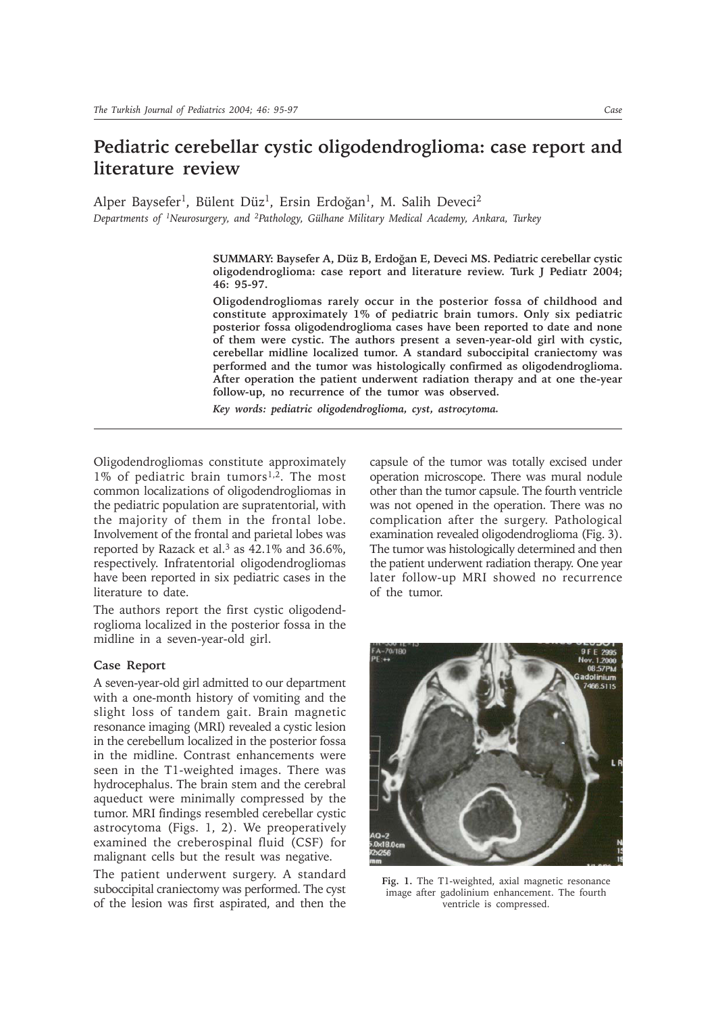## **Pediatric cerebellar cystic oligodendroglioma: case report and literature review**

Alper Baysefer<sup>1</sup>, Bülent Düz<sup>1</sup>, Ersin Erdoğan<sup>1</sup>, M. Salih Deveci<sup>2</sup> *Departments of 1Neurosurgery, and 2Pathology, Gülhane Military Medical Academy, Ankara, Turkey*

> **SUMMARY: Baysefer A, Düz B, Erdoðan E, Deveci MS. Pediatric cerebellar cystic oligodendroglioma: case report and literature review. Turk J Pediatr 2004; 46: 95-97.**

> **Oligodendrogliomas rarely occur in the posterior fossa of childhood and constitute approximately 1% of pediatric brain tumors. Only six pediatric posterior fossa oligodendroglioma cases have been reported to date and none of them were cystic. The authors present a seven-year-old girl with cystic, cerebellar midline localized tumor. A standard suboccipital craniectomy was performed and the tumor was histologically confirmed as oligodendroglioma. After operation the patient underwent radiation therapy and at one the-year follow-up, no recurrence of the tumor was observed.**

*Key words: pediatric oligodendroglioma, cyst, astrocytoma.*

Oligodendrogliomas constitute approximately 1% of pediatric brain tumors<sup>1,2</sup>. The most common localizations of oligodendrogliomas in the pediatric population are supratentorial, with the majority of them in the frontal lobe. Involvement of the frontal and parietal lobes was reported by Razack et al.<sup>3</sup> as  $42.1\%$  and  $36.6\%$ , respectively. Infratentorial oligodendrogliomas have been reported in six pediatric cases in the literature to date.

The authors report the first cystic oligodendroglioma localized in the posterior fossa in the midline in a seven-year-old girl.

## **Case Report**

A seven-year-old girl admitted to our department with a one-month history of vomiting and the slight loss of tandem gait. Brain magnetic resonance imaging (MRI) revealed a cystic lesion in the cerebellum localized in the posterior fossa in the midline. Contrast enhancements were seen in the T1-weighted images. There was hydrocephalus. The brain stem and the cerebral aqueduct were minimally compressed by the tumor. MRI findings resembled cerebellar cystic astrocytoma (Figs. 1, 2). We preoperatively examined the creberospinal fluid (CSF) for malignant cells but the result was negative.

The patient underwent surgery. A standard suboccipital craniectomy was performed. The cyst of the lesion was first aspirated, and then the

capsule of the tumor was totally excised under operation microscope. There was mural nodule other than the tumor capsule. The fourth ventricle was not opened in the operation. There was no complication after the surgery. Pathological examination revealed oligodendroglioma (Fig. 3). The tumor was histologically determined and then the patient underwent radiation therapy. One year later follow-up MRI showed no recurrence of the tumor.



**Fig. 1.** The T1-weighted, axial magnetic resonance image after gadolinium enhancement. The fourth ventricle is compressed.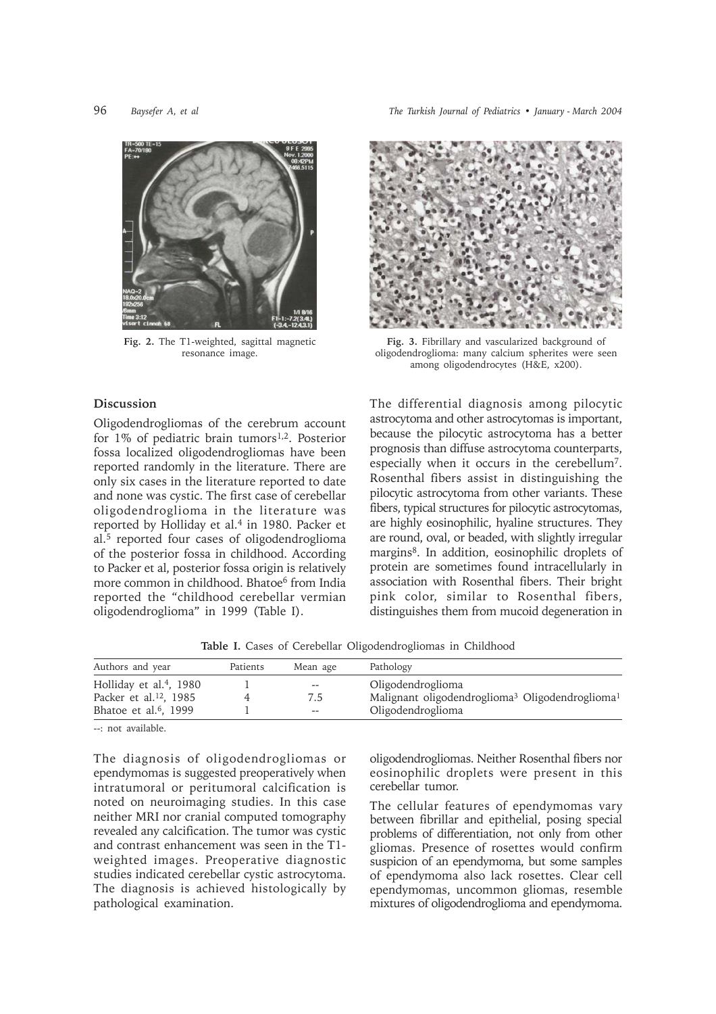

**Fig. 2.** The T1-weighted, sagittal magnetic resonance image.

## **Discussion**

Oligodendrogliomas of the cerebrum account for 1% of pediatric brain tumors<sup>1,2</sup>. Posterior fossa localized oligodendrogliomas have been reported randomly in the literature. There are only six cases in the literature reported to date and none was cystic. The first case of cerebellar oligodendroglioma in the literature was reported by Holliday et al.<sup>4</sup> in 1980. Packer et al.5 reported four cases of oligodendroglioma of the posterior fossa in childhood. According to Packer et al, posterior fossa origin is relatively more common in childhood. Bhatoe<sup>6</sup> from India reported the "childhood cerebellar vermian oligodendroglioma" in 1999 (Table I).



**Fig. 3.** Fibrillary and vascularized background of oligodendroglioma: many calcium spherites were seen among oligodendrocytes (H&E, x200).

The differential diagnosis among pilocytic astrocytoma and other astrocytomas is important, because the pilocytic astrocytoma has a better prognosis than diffuse astrocytoma counterparts, especially when it occurs in the cerebellum7. Rosenthal fibers assist in distinguishing the pilocytic astrocytoma from other variants. These fibers, typical structures for pilocytic astrocytomas, are highly eosinophilic, hyaline structures. They are round, oval, or beaded, with slightly irregular margins8. In addition, eosinophilic droplets of protein are sometimes found intracellularly in association with Rosenthal fibers. Their bright pink color, similar to Rosenthal fibers, distinguishes them from mucoid degeneration in

**Table I.** Cases of Cerebellar Oligodendrogliomas in Childhood

| Authors and year                    | Patients | Mean age | Pathology                                                               |
|-------------------------------------|----------|----------|-------------------------------------------------------------------------|
| Holliday et al. <sup>4</sup> , 1980 |          | $-$      | Oligodendroglioma                                                       |
| Packer et al. <sup>12</sup> , 1985  |          | 7.5      | Malignant oligodendroglioma <sup>3</sup> Oligodendroglioma <sup>1</sup> |
| Bhatoe et al. $6, 1999$             |          | $-$      | Oligodendroglioma                                                       |

--: not available.

The diagnosis of oligodendrogliomas or ependymomas is suggested preoperatively when intratumoral or peritumoral calcification is noted on neuroimaging studies. In this case neither MRI nor cranial computed tomography revealed any calcification. The tumor was cystic and contrast enhancement was seen in the T1 weighted images. Preoperative diagnostic studies indicated cerebellar cystic astrocytoma. The diagnosis is achieved histologically by pathological examination.

oligodendrogliomas. Neither Rosenthal fibers nor eosinophilic droplets were present in this cerebellar tumor.

The cellular features of ependymomas vary between fibrillar and epithelial, posing special problems of differentiation, not only from other gliomas. Presence of rosettes would confirm suspicion of an ependymoma, but some samples of ependymoma also lack rosettes. Clear cell ependymomas, uncommon gliomas, resemble mixtures of oligodendroglioma and ependymoma.